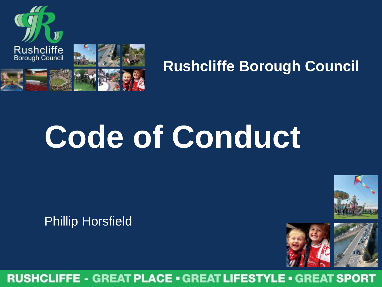

### **Rushcliffe Borough Council**

# **Code of Conduct**

Phillip Horsfield



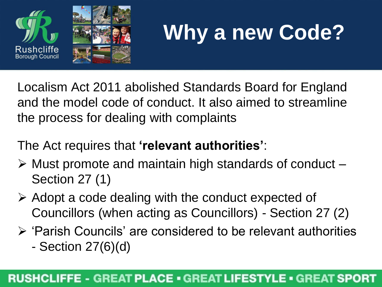



### **Why a new Code?**

Localism Act 2011 abolished Standards Board for England and the model code of conduct. It also aimed to streamline the process for dealing with complaints

### The Act requires that **'relevant authorities'**:

- $\triangleright$  Must promote and maintain high standards of conduct  $-$ Section 27 (1)
- $\triangleright$  Adopt a code dealing with the conduct expected of Councillors (when acting as Councillors) - Section 27 (2)
- 'Parish Councils' are considered to be relevant authorities - Section 27(6)(d)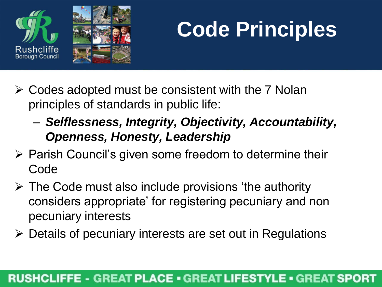



### **Code Principles**

- $\triangleright$  Codes adopted must be consistent with the 7 Nolan principles of standards in public life:
	- *Selflessness, Integrity, Objectivity, Accountability, Openness, Honesty, Leadership*
- $\triangleright$  Parish Council's given some freedom to determine their Code
- $\triangleright$  The Code must also include provisions 'the authority considers appropriate' for registering pecuniary and non pecuniary interests
- $\triangleright$  Details of pecuniary interests are set out in Regulations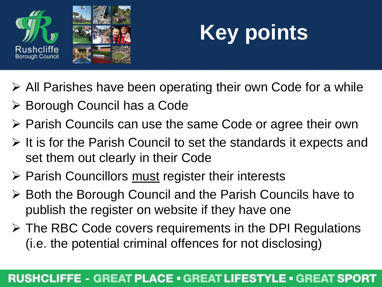





- $\triangleright$  All Parishes have been operating their own Code for a while
- ▶ Borough Council has a Code
- ▶ Parish Councils can use the same Code or agree their own
- $\triangleright$  It is for the Parish Council to set the standards it expects and set them out clearly in their Code
- $\triangleright$  Parish Councillors must register their interests
- **► Both the Borough Council and the Parish Councils have to** publish the register on website if they have one
- $\triangleright$  The RBC Code covers requirements in the DPI Regulations (i.e. the potential criminal offences for not disclosing)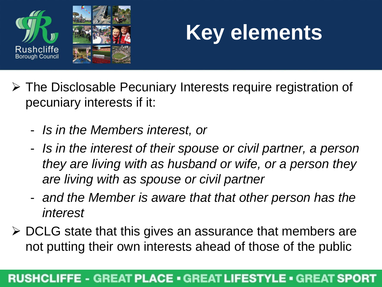



- The Disclosable Pecuniary Interests require registration of pecuniary interests if it:
	- *Is in the Members interest, or*
	- *Is in the interest of their spouse or civil partner, a person they are living with as husband or wife, or a person they are living with as spouse or civil partner*
	- *and the Member is aware that that other person has the interest*
- $\triangleright$  DCLG state that this gives an assurance that members are not putting their own interests ahead of those of the public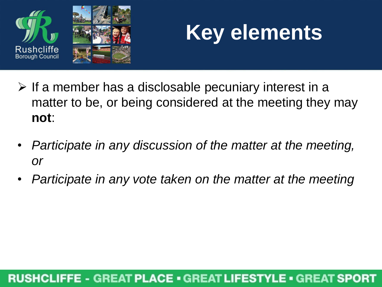



- $\triangleright$  If a member has a disclosable pecuniary interest in a matter to be, or being considered at the meeting they may **not**:
- *Participate in any discussion of the matter at the meeting, or*
- *Participate in any vote taken on the matter at the meeting*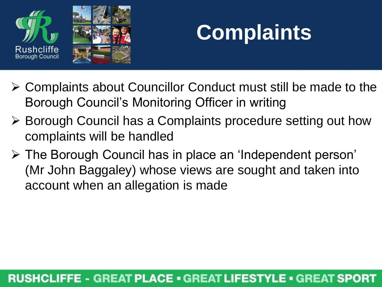



### **Complaints**

- Complaints about Councillor Conduct must still be made to the Borough Council's Monitoring Officer in writing
- ▶ Borough Council has a Complaints procedure setting out how complaints will be handled
- The Borough Council has in place an 'Independent person' (Mr John Baggaley) whose views are sought and taken into account when an allegation is made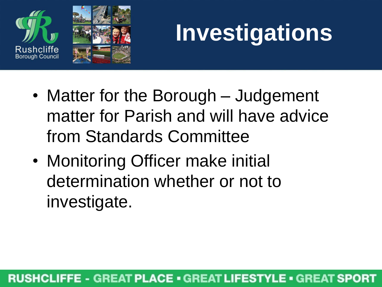



### **Investigations**

- Matter for the Borough Judgement matter for Parish and will have advice from Standards Committee
- Monitoring Officer make initial determination whether or not to investigate.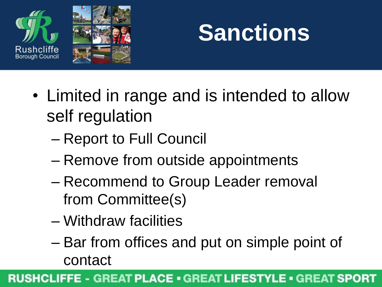





- Limited in range and is intended to allow self regulation
	- Report to Full Council
	- Remove from outside appointments
	- Recommend to Group Leader removal from Committee(s)
	- Withdraw facilities
	- Bar from offices and put on simple point of contact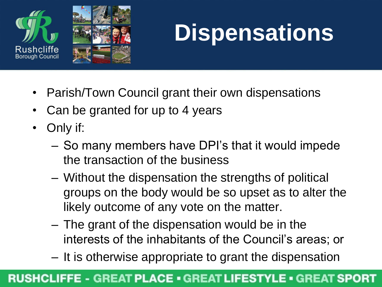



## **Dispensations**

- Parish/Town Council grant their own dispensations
- Can be granted for up to 4 years
- Only if:
	- So many members have DPI's that it would impede the transaction of the business
	- Without the dispensation the strengths of political groups on the body would be so upset as to alter the likely outcome of any vote on the matter.
	- The grant of the dispensation would be in the interests of the inhabitants of the Council's areas; or
	- It is otherwise appropriate to grant the dispensation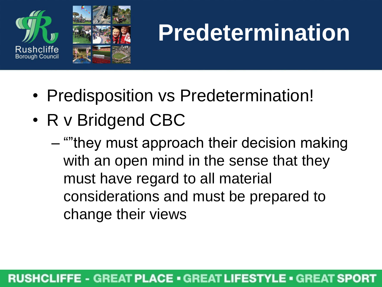



### **Predetermination**

- Predisposition vs Predetermination!
- R v Bridgend CBC
	- ""they must approach their decision making with an open mind in the sense that they must have regard to all material considerations and must be prepared to change their views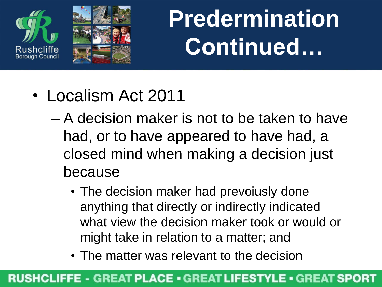



# **Predermination Continued…**

- Localism Act 2011
	- A decision maker is not to be taken to have had, or to have appeared to have had, a closed mind when making a decision just because
		- The decision maker had prevoiusly done anything that directly or indirectly indicated what view the decision maker took or would or might take in relation to a matter; and
		- The matter was relevant to the decision